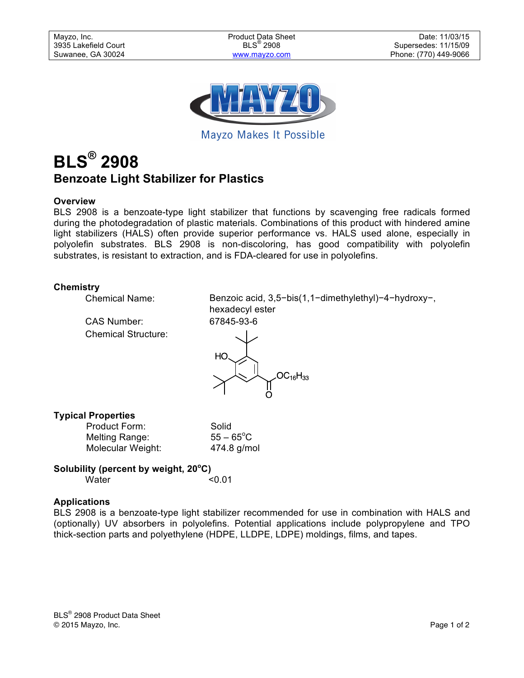

Mayzo Makes It Possible

# **BLS® 2908 Benzoate Light Stabilizer for Plastics**

# **Overview**

BLS 2908 is a benzoate-type light stabilizer that functions by scavenging free radicals formed during the photodegradation of plastic materials. Combinations of this product with hindered amine light stabilizers (HALS) often provide superior performance vs. HALS used alone, especially in polyolefin substrates. BLS 2908 is non-discoloring, has good compatibility with polyolefin substrates, is resistant to extraction, and is FDA-cleared for use in polyolefins.

# **Chemistry**

CAS Number: 67845-93-6 Chemical Structure:

Chemical Name: Benzoic acid, 3,5−bis(1,1−dimethylethyl)−4−hydroxy−, hexadecyl ester



# **Typical Properties**

| Product Form:     | Solid               |
|-------------------|---------------------|
| Melting Range:    | $55 - 65^{\circ}$ C |
| Molecular Weight: | 474.8 g/mol         |

# **Solubility (percent by weight, 20<sup>o</sup> C)** Water <0.01

# **Applications**

BLS 2908 is a benzoate-type light stabilizer recommended for use in combination with HALS and (optionally) UV absorbers in polyolefins. Potential applications include polypropylene and TPO thick-section parts and polyethylene (HDPE, LLDPE, LDPE) moldings, films, and tapes.